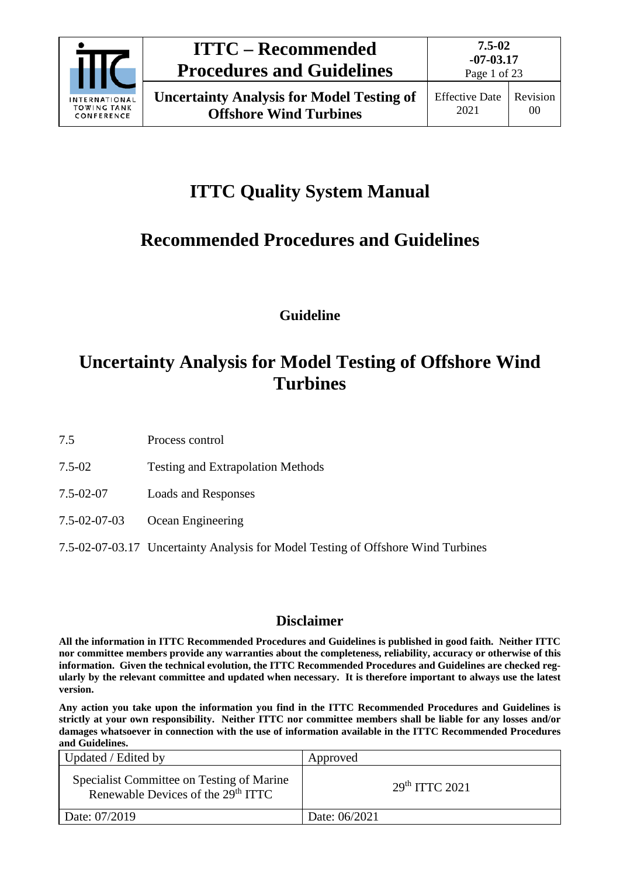

# **ITTC Quality System Manual**

# **Recommended Procedures and Guidelines**

**Guideline**

# **Uncertainty Analysis for Model Testing of Offshore Wind Turbines**

7.5 Process control

- 7.5-02 Testing and Extrapolation Methods
- 7.5-02-07 Loads and Responses
- 7.5-02-07-03 Ocean Engineering

## 7.5-02-07-03.17 Uncertainty Analysis for Model Testing of Offshore Wind Turbines

## **Disclaimer**

**All the information in ITTC Recommended Procedures and Guidelines is published in good faith. Neither ITTC nor committee members provide any warranties about the completeness, reliability, accuracy or otherwise of this information. Given the technical evolution, the ITTC Recommended Procedures and Guidelines are checked regularly by the relevant committee and updated when necessary. It is therefore important to always use the latest version.**

**Any action you take upon the information you find in the ITTC Recommended Procedures and Guidelines is strictly at your own responsibility. Neither ITTC nor committee members shall be liable for any losses and/or damages whatsoever in connection with the use of information available in the ITTC Recommended Procedures and Guidelines.**

| Updated / Edited by                                                                         | Approved                   |
|---------------------------------------------------------------------------------------------|----------------------------|
| Specialist Committee on Testing of Marine<br>Renewable Devices of the 29 <sup>th</sup> ITTC | 29 <sup>th</sup> TTTC 2021 |
| Date: 07/2019                                                                               | Date: 06/2021              |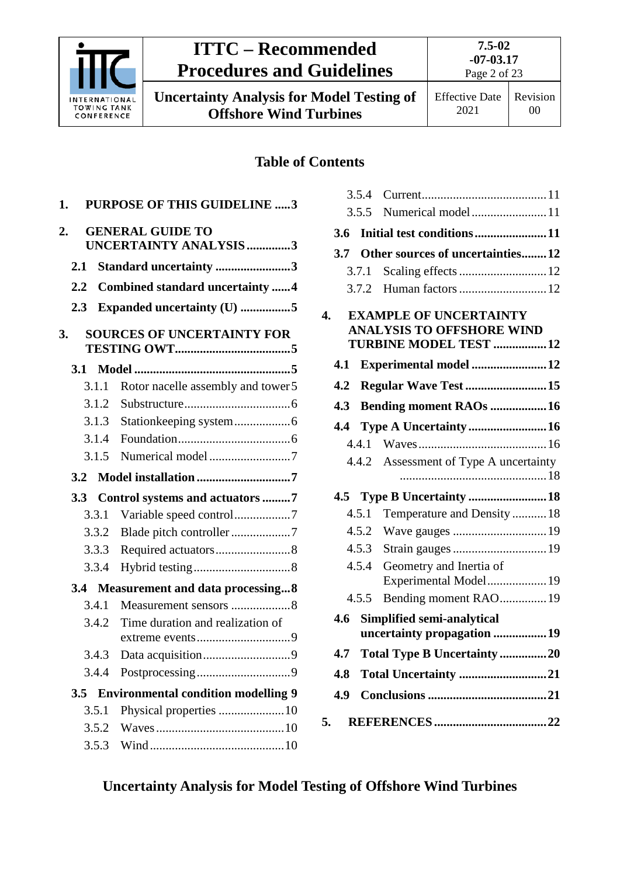

**Uncertainty Analysis for Model Testing of Offshore Wind Turbines**

Effective Date 2021 Revision 00

## **Table of Contents**

| 1.      |       | <b>PURPOSE OF THIS GUIDELINE 3</b>                      |
|---------|-------|---------------------------------------------------------|
| 2.      |       | <b>GENERAL GUIDE TO</b><br><b>UNCERTAINTY ANALYSIS3</b> |
| 2.1     |       | Standard uncertainty 3                                  |
| $2.2\,$ |       | <b>Combined standard uncertainty 4</b>                  |
| 2.3     |       | Expanded uncertainty (U) 5                              |
| 3.      |       | <b>SOURCES OF UNCERTAINTY FOR</b>                       |
| 3.1     |       |                                                         |
|         | 3.1.1 | Rotor nacelle assembly and tower 5                      |
|         | 3.1.2 |                                                         |
|         | 3.1.3 |                                                         |
|         | 3.1.4 |                                                         |
|         | 3.1.5 | Numerical model 7                                       |
|         |       |                                                         |
|         |       |                                                         |
| 3.3     |       | Control systems and actuators 7                         |
|         | 3.3.1 |                                                         |
|         | 3.3.2 |                                                         |
|         | 3.3.3 |                                                         |
|         | 3.3.4 |                                                         |
|         |       | 3.4 Measurement and data processing8                    |
|         | 3.4.1 | Measurement sensors 8                                   |
|         | 3.4.2 | Time duration and realization of                        |
|         | 3.4.3 |                                                         |
|         | 3.4.4 |                                                         |
| 3.5     |       | <b>Environmental condition modelling 9</b>              |
|         | 3.5.1 |                                                         |
|         | 3.5.2 |                                                         |

|                         | 3.5.4 |                                                                                                    |  |
|-------------------------|-------|----------------------------------------------------------------------------------------------------|--|
|                         | 3.5.5 | Numerical model11                                                                                  |  |
| 3.6                     |       | Initial test conditions11                                                                          |  |
| 3.7                     |       | Other sources of uncertainties12                                                                   |  |
|                         | 3.7.1 |                                                                                                    |  |
|                         | 3.7.2 |                                                                                                    |  |
| $\overline{\mathbf{4}}$ |       | <b>EXAMPLE OF UNCERTAINTY</b><br><b>ANALYSIS TO OFFSHORE WIND</b><br><b>TURBINE MODEL TEST  12</b> |  |
| 4.1                     |       | Experimental model 12                                                                              |  |
| 4.2                     |       | Regular Wave Test  15                                                                              |  |
| 4.3                     |       | <b>Bending moment RAOs  16</b>                                                                     |  |
| 4.4                     |       | Type A Uncertainty  16                                                                             |  |
|                         | 4.4.1 |                                                                                                    |  |
|                         |       | 4.4.2 Assessment of Type A uncertainty                                                             |  |
|                         |       | 4.5 Type B Uncertainty  18                                                                         |  |
|                         | 4.5.1 | Temperature and Density  18                                                                        |  |
|                         | 4.5.2 |                                                                                                    |  |
|                         | 4.5.3 |                                                                                                    |  |
|                         | 4.5.4 | Geometry and Inertia of<br>Experimental Model 19                                                   |  |
|                         | 4.5.5 | Bending moment RAO 19                                                                              |  |
| 4.6                     |       | Simplified semi-analytical<br>uncertainty propagation 19                                           |  |
| 4.7                     |       | <b>Total Type B Uncertainty 20</b>                                                                 |  |
| 4.8                     |       | Total Uncertainty 21                                                                               |  |
| 4.9                     |       |                                                                                                    |  |
| 5.                      |       |                                                                                                    |  |

## **Uncertainty Analysis for Model Testing of Offshore Wind Turbines**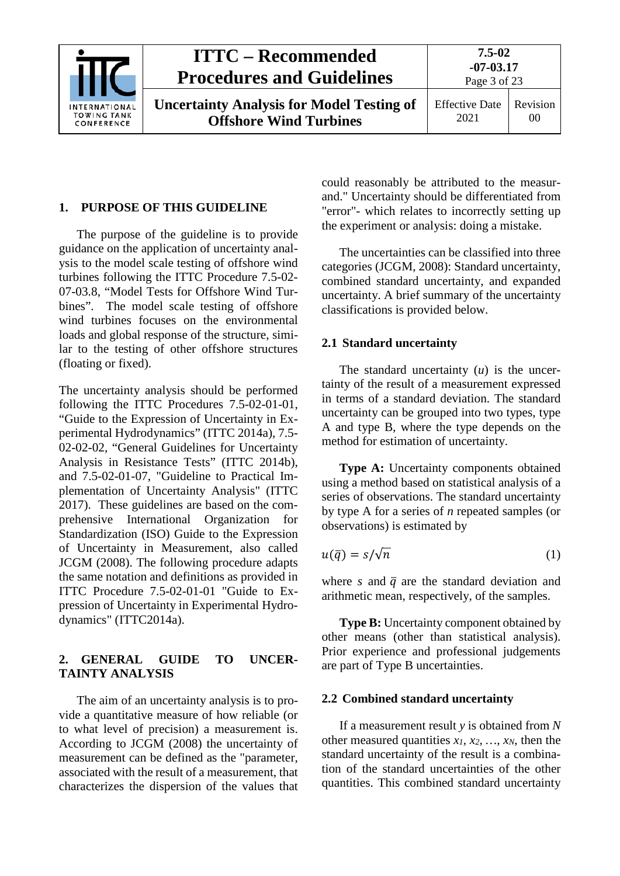

#### <span id="page-2-0"></span>**1. PURPOSE OF THIS GUIDELINE**

The purpose of the guideline is to provide guidance on the application of uncertainty analysis to the model scale testing of offshore wind turbines following the ITTC Procedure 7.5-02- 07-03.8, "Model Tests for Offshore Wind Turbines". The model scale testing of offshore wind turbines focuses on the environmental loads and global response of the structure, similar to the testing of other offshore structures (floating or fixed).

The uncertainty analysis should be performed following the ITTC Procedures 7.5-02-01-01, "Guide to the Expression of Uncertainty in Experimental Hydrodynamics" (ITTC 2014a), 7.5- 02-02-02, "General Guidelines for Uncertainty Analysis in Resistance Tests" (ITTC 2014b), and 7.5-02-01-07, "Guideline to Practical Implementation of Uncertainty Analysis" (ITTC 2017). These guidelines are based on the comprehensive International Organization for Standardization (ISO) Guide to the Expression of Uncertainty in Measurement, also called JCGM (2008). The following procedure adapts the same notation and definitions as provided in ITTC Procedure 7.5-02-01-01 "Guide to Expression of Uncertainty in Experimental Hydrodynamics" (ITTC2014a).

#### <span id="page-2-1"></span>**2. GENERAL GUIDE TO UNCER-TAINTY ANALYSIS**

The aim of an uncertainty analysis is to provide a quantitative measure of how reliable (or to what level of precision) a measurement is. According to JCGM (2008) the uncertainty of measurement can be defined as the "parameter, associated with the result of a measurement, that characterizes the dispersion of the values that

could reasonably be attributed to the measurand." Uncertainty should be differentiated from "error"- which relates to incorrectly setting up the experiment or analysis: doing a mistake.

The uncertainties can be classified into three categories (JCGM, 2008): Standard uncertainty, combined standard uncertainty, and expanded uncertainty. A brief summary of the uncertainty classifications is provided below.

#### <span id="page-2-2"></span>**2.1 Standard uncertainty**

The standard uncertainty (*u*) is the uncertainty of the result of a measurement expressed in terms of a standard deviation. The standard uncertainty can be grouped into two types, type A and type B, where the type depends on the method for estimation of uncertainty.

**Type A:** Uncertainty components obtained using a method based on statistical analysis of a series of observations. The standard uncertainty by type A for a series of *n* repeated samples (or observations) is estimated by

$$
u(\bar{q}) = s/\sqrt{n} \tag{1}
$$

where *s* and  $\bar{q}$  are the standard deviation and arithmetic mean, respectively, of the samples.

**Type B:** Uncertainty component obtained by other means (other than statistical analysis). Prior experience and professional judgements are part of Type B uncertainties.

#### <span id="page-2-3"></span>**2.2 Combined standard uncertainty**

If a measurement result *y* is obtained from *N* other measured quantities  $x_1$ ,  $x_2$ ,  $\ldots$ ,  $x_N$ , then the standard uncertainty of the result is a combination of the standard uncertainties of the other quantities. This combined standard uncertainty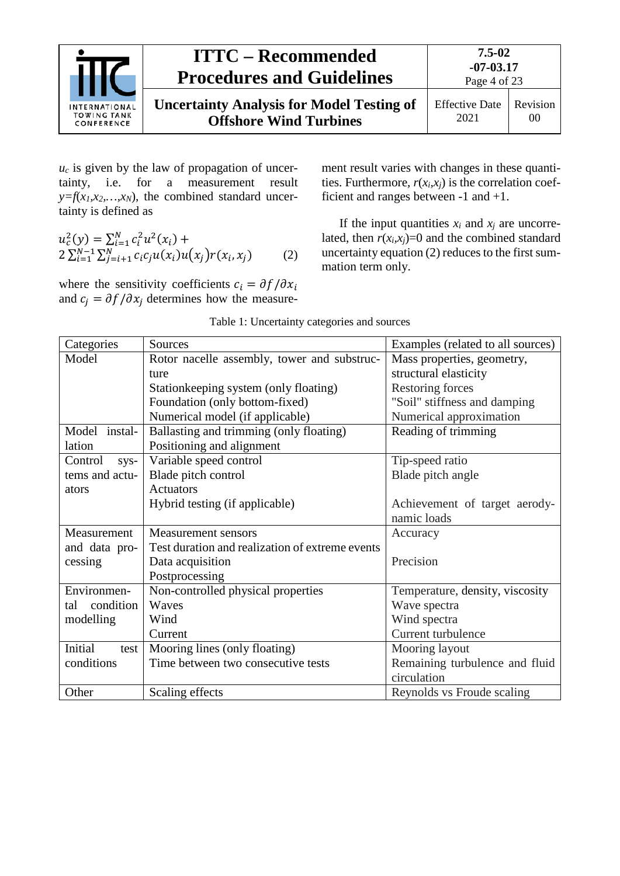

 $u_c$  is given by the law of propagation of uncertainty, i.e. for a measurement result  $y=f(x_1,x_2,...,x_N)$ , the combined standard uncertainty is defined as

$$
u_c^2(y) = \sum_{i=1}^N c_i^2 u^2(x_i) +
$$
  
2 $\sum_{i=1}^{N-1} \sum_{j=i+1}^N c_i c_j u(x_i) u(x_j) r(x_i, x_j)$  (2)

where the sensitivity coefficients  $c_i = \partial f / \partial x_i$ and  $c_i = \partial f / \partial x_i$  determines how the measurement result varies with changes in these quantities. Furthermore,  $r(x_i, x_j)$  is the correlation coefficient and ranges between -1 and +1.

If the input quantities  $x_i$  and  $x_j$  are uncorrelated, then  $r(x_i,x_j)=0$  and the combined standard uncertainty equation (2) reduces to the first summation term only.

<span id="page-3-0"></span>

| Categories       | Sources                                         | Examples (related to all sources) |
|------------------|-------------------------------------------------|-----------------------------------|
| Model            | Rotor nacelle assembly, tower and substruc-     | Mass properties, geometry,        |
|                  | ture                                            | structural elasticity             |
|                  | Station keeping system (only floating)          | <b>Restoring forces</b>           |
|                  | Foundation (only bottom-fixed)                  | "Soil" stiffness and damping      |
|                  | Numerical model (if applicable)                 | Numerical approximation           |
| Model instal-    | Ballasting and trimming (only floating)         | Reading of trimming               |
| lation           | Positioning and alignment                       |                                   |
| Control<br>sys-  | Variable speed control                          | Tip-speed ratio                   |
| tems and actu-   | Blade pitch control                             | Blade pitch angle                 |
| ators            | <b>Actuators</b>                                |                                   |
|                  | Hybrid testing (if applicable)                  | Achievement of target aerody-     |
|                  |                                                 | namic loads                       |
| Measurement      | Measurement sensors                             | Accuracy                          |
| and data pro-    | Test duration and realization of extreme events |                                   |
| cessing          | Data acquisition                                | Precision                         |
|                  | Postprocessing                                  |                                   |
| Environmen-      | Non-controlled physical properties              | Temperature, density, viscosity   |
| condition<br>tal | Waves                                           | Wave spectra                      |
| modelling        | Wind                                            | Wind spectra                      |
|                  | Current                                         | Current turbulence                |
| Initial<br>test  | Mooring lines (only floating)                   | Mooring layout                    |
| conditions       | Time between two consecutive tests              | Remaining turbulence and fluid    |
|                  |                                                 | circulation                       |
| Other            | Scaling effects                                 | Reynolds vs Froude scaling        |

Table 1: Uncertainty categories and sources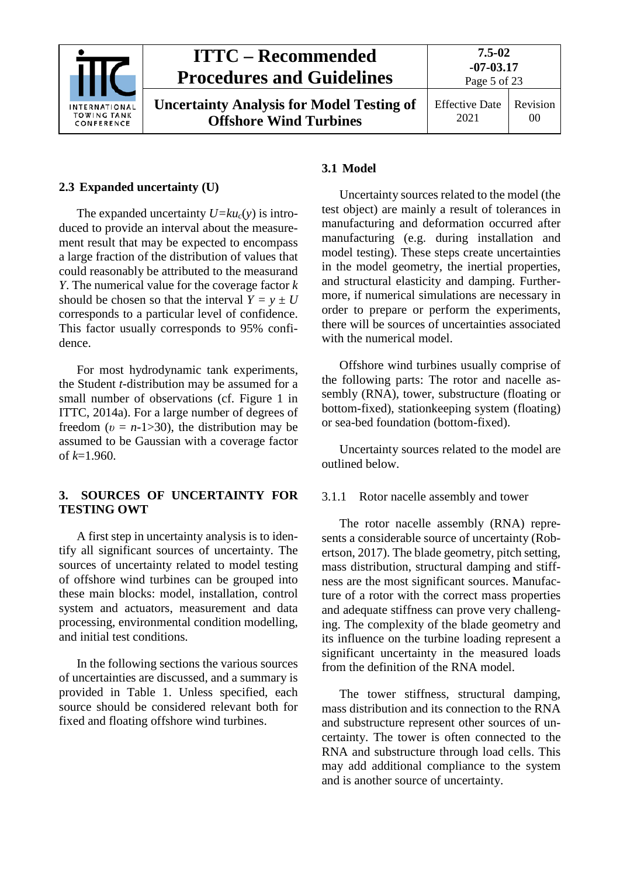

#### <span id="page-4-0"></span>**2.3 Expanded uncertainty (U)**

The expanded uncertainty  $U=ku_c(y)$  is introduced to provide an interval about the measurement result that may be expected to encompass a large fraction of the distribution of values that could reasonably be attributed to the measurand *Y*. The numerical value for the coverage factor *k* should be chosen so that the interval  $Y = y \pm U$ corresponds to a particular level of confidence. This factor usually corresponds to 95% confidence.

For most hydrodynamic tank experiments, the Student *t*-distribution may be assumed for a small number of observations (cf. Figure 1 in ITTC, 2014a). For a large number of degrees of freedom  $(v = n-1>30)$ , the distribution may be assumed to be Gaussian with a coverage factor of *k*=1.960.

### <span id="page-4-1"></span>**3. SOURCES OF UNCERTAINTY FOR TESTING OWT**

A first step in uncertainty analysis is to identify all significant sources of uncertainty. The sources of uncertainty related to model testing of offshore wind turbines can be grouped into these main blocks: model, installation, control system and actuators, measurement and data processing, environmental condition modelling, and initial test conditions.

In the following sections the various sources of uncertainties are discussed, and a summary is provided in [Table 1.](#page-3-0) Unless specified, each source should be considered relevant both for fixed and floating offshore wind turbines.

### **3.1 Model**

Uncertainty sources related to the model (the test object) are mainly a result of tolerances in manufacturing and deformation occurred after manufacturing (e.g. during installation and model testing). These steps create uncertainties in the model geometry, the inertial properties, and structural elasticity and damping. Furthermore, if numerical simulations are necessary in order to prepare or perform the experiments, there will be sources of uncertainties associated with the numerical model.

Offshore wind turbines usually comprise of the following parts: The rotor and nacelle assembly (RNA), tower, substructure (floating or bottom-fixed), stationkeeping system (floating) or sea-bed foundation (bottom-fixed).

Uncertainty sources related to the model are outlined below.

#### <span id="page-4-2"></span>3.1.1 Rotor nacelle assembly and tower

The rotor nacelle assembly (RNA) represents a considerable source of uncertainty (Robertson, 2017). The blade geometry, pitch setting, mass distribution, structural damping and stiffness are the most significant sources. Manufacture of a rotor with the correct mass properties and adequate stiffness can prove very challenging. The complexity of the blade geometry and its influence on the turbine loading represent a significant uncertainty in the measured loads from the definition of the RNA model.

The tower stiffness, structural damping, mass distribution and its connection to the RNA and substructure represent other sources of uncertainty. The tower is often connected to the RNA and substructure through load cells. This may add additional compliance to the system and is another source of uncertainty.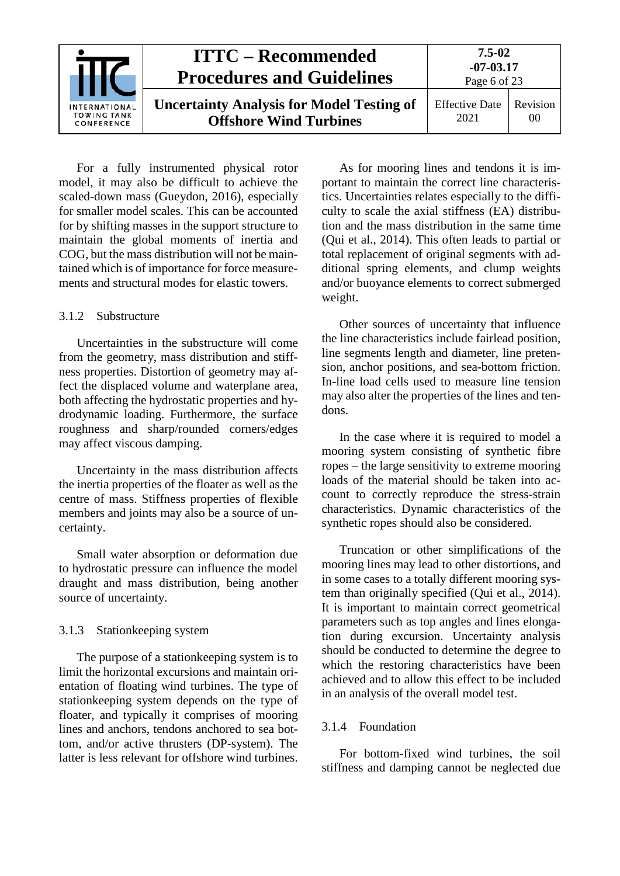| <b>ITTC – Recommended</b><br><b>Procedures and Guidelines</b> |                                                                                   | 7.5-02<br>$-07 - 03.17$<br>Page 6 of 23 |                |  |
|---------------------------------------------------------------|-----------------------------------------------------------------------------------|-----------------------------------------|----------------|--|
| INTERNATIONAL<br><b>TOWING TANK</b><br>CONFERENCE             | <b>Uncertainty Analysis for Model Testing of</b><br><b>Offshore Wind Turbines</b> | <b>Effective Date</b><br>2021           | Revision<br>00 |  |

For a fully instrumented physical rotor model, it may also be difficult to achieve the scaled-down mass (Gueydon, 2016), especially for smaller model scales. This can be accounted for by shifting masses in the support structure to maintain the global moments of inertia and COG, but the mass distribution will not be maintained which is of importance for force measurements and structural modes for elastic towers.

#### <span id="page-5-0"></span>3.1.2. Substructure

Uncertainties in the substructure will come from the geometry, mass distribution and stiffness properties. Distortion of geometry may affect the displaced volume and waterplane area, both affecting the hydrostatic properties and hydrodynamic loading. Furthermore, the surface roughness and sharp/rounded corners/edges may affect viscous damping.

Uncertainty in the mass distribution affects the inertia properties of the floater as well as the centre of mass. Stiffness properties of flexible members and joints may also be a source of uncertainty.

Small water absorption or deformation due to hydrostatic pressure can influence the model draught and mass distribution, being another source of uncertainty.

#### <span id="page-5-1"></span>3.1.3 Stationkeeping system

The purpose of a stationkeeping system is to limit the horizontal excursions and maintain orientation of floating wind turbines. The type of stationkeeping system depends on the type of floater, and typically it comprises of mooring lines and anchors, tendons anchored to sea bottom, and/or active thrusters (DP-system). The latter is less relevant for offshore wind turbines.

As for mooring lines and tendons it is important to maintain the correct line characteristics. Uncertainties relates especially to the difficulty to scale the axial stiffness (EA) distribution and the mass distribution in the same time (Qui et al., 2014). This often leads to partial or total replacement of original segments with additional spring elements, and clump weights and/or buoyance elements to correct submerged weight.

Other sources of uncertainty that influence the line characteristics include fairlead position, line segments length and diameter, line pretension, anchor positions, and sea-bottom friction. In-line load cells used to measure line tension may also alter the properties of the lines and tendons.

In the case where it is required to model a mooring system consisting of synthetic fibre ropes – the large sensitivity to extreme mooring loads of the material should be taken into account to correctly reproduce the stress-strain characteristics. Dynamic characteristics of the synthetic ropes should also be considered.

Truncation or other simplifications of the mooring lines may lead to other distortions, and in some cases to a totally different mooring system than originally specified (Qui et al., 2014). It is important to maintain correct geometrical parameters such as top angles and lines elongation during excursion. Uncertainty analysis should be conducted to determine the degree to which the restoring characteristics have been achieved and to allow this effect to be included in an analysis of the overall model test.

#### <span id="page-5-2"></span>3.1.4 Foundation

For bottom-fixed wind turbines, the soil stiffness and damping cannot be neglected due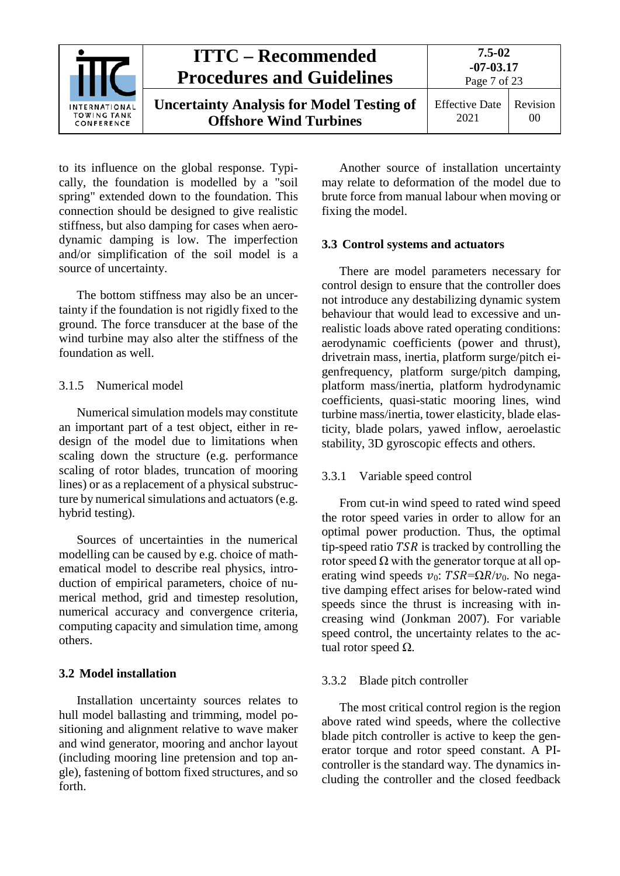

to its influence on the global response. Typically, the foundation is modelled by a "soil spring" extended down to the foundation. This connection should be designed to give realistic stiffness, but also damping for cases when aerodynamic damping is low. The imperfection and/or simplification of the soil model is a source of uncertainty.

The bottom stiffness may also be an uncertainty if the foundation is not rigidly fixed to the ground. The force transducer at the base of the wind turbine may also alter the stiffness of the foundation as well.

### <span id="page-6-0"></span>3.1.5 Numerical model

Numerical simulation models may constitute an important part of a test object, either in redesign of the model due to limitations when scaling down the structure (e.g. performance scaling of rotor blades, truncation of mooring lines) or as a replacement of a physical substructure by numerical simulations and actuators (e.g. hybrid testing).

Sources of uncertainties in the numerical modelling can be caused by e.g. choice of mathematical model to describe real physics, introduction of empirical parameters, choice of numerical method, grid and timestep resolution, numerical accuracy and convergence criteria, computing capacity and simulation time, among others.

## <span id="page-6-1"></span>**3.2 Model installation**

Installation uncertainty sources relates to hull model ballasting and trimming, model positioning and alignment relative to wave maker and wind generator, mooring and anchor layout (including mooring line pretension and top angle), fastening of bottom fixed structures, and so forth.

Another source of installation uncertainty may relate to deformation of the model due to brute force from manual labour when moving or fixing the model.

### <span id="page-6-2"></span>**3.3 Control systems and actuators**

There are model parameters necessary for control design to ensure that the controller does not introduce any destabilizing dynamic system behaviour that would lead to excessive and unrealistic loads above rated operating conditions: aerodynamic coefficients (power and thrust), drivetrain mass, inertia, platform surge/pitch eigenfrequency, platform surge/pitch damping, platform mass/inertia, platform hydrodynamic coefficients, quasi-static mooring lines, wind turbine mass/inertia, tower elasticity, blade elasticity, blade polars, yawed inflow, aeroelastic stability, 3D gyroscopic effects and others.

## <span id="page-6-3"></span>3.3.1 Variable speed control

From cut-in wind speed to rated wind speed the rotor speed varies in order to allow for an optimal power production. Thus, the optimal tip-speed ratio  $TSR$  is tracked by controlling the rotor speed  $\Omega$  with the generator torque at all operating wind speeds  $v_0$ :  $TSR = \Omega R/v_0$ . No negative damping effect arises for below-rated wind speeds since the thrust is increasing with increasing wind (Jonkman 2007). For variable speed control, the uncertainty relates to the actual rotor speed  $Ω$ .

## <span id="page-6-4"></span>3.3.2 Blade pitch controller

The most critical control region is the region above rated wind speeds, where the collective blade pitch controller is active to keep the generator torque and rotor speed constant. A PIcontroller is the standard way. The dynamics including the controller and the closed feedback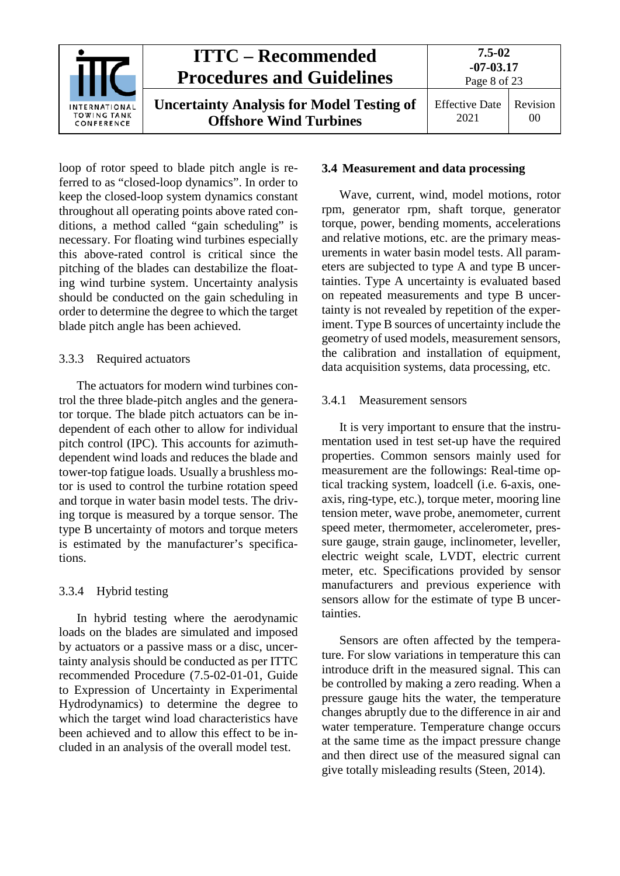

loop of rotor speed to blade pitch angle is referred to as "closed-loop dynamics". In order to keep the closed-loop system dynamics constant throughout all operating points above rated conditions, a method called "gain scheduling" is necessary. For floating wind turbines especially this above-rated control is critical since the pitching of the blades can destabilize the floating wind turbine system. Uncertainty analysis should be conducted on the gain scheduling in order to determine the degree to which the target blade pitch angle has been achieved.

### <span id="page-7-0"></span>3.3.3 Required actuators

The actuators for modern wind turbines control the three blade-pitch angles and the generator torque. The blade pitch actuators can be independent of each other to allow for individual pitch control (IPC). This accounts for azimuthdependent wind loads and reduces the blade and tower-top fatigue loads. Usually a brushless motor is used to control the turbine rotation speed and torque in water basin model tests. The driving torque is measured by a torque sensor. The type B uncertainty of motors and torque meters is estimated by the manufacturer's specifications.

## <span id="page-7-1"></span>3.3.4 Hybrid testing

In hybrid testing where the aerodynamic loads on the blades are simulated and imposed by actuators or a passive mass or a disc, uncertainty analysis should be conducted as per ITTC recommended Procedure (7.5-02-01-01, Guide to Expression of Uncertainty in Experimental Hydrodynamics) to determine the degree to which the target wind load characteristics have been achieved and to allow this effect to be included in an analysis of the overall model test.

## <span id="page-7-2"></span>**3.4 Measurement and data processing**

Wave, current, wind, model motions, rotor rpm, generator rpm, shaft torque, generator torque, power, bending moments, accelerations and relative motions, etc. are the primary measurements in water basin model tests. All parameters are subjected to type A and type B uncertainties. Type A uncertainty is evaluated based on repeated measurements and type B uncertainty is not revealed by repetition of the experiment. Type B sources of uncertainty include the geometry of used models, measurement sensors, the calibration and installation of equipment, data acquisition systems, data processing, etc.

#### <span id="page-7-3"></span>3.4.1 Measurement sensors

It is very important to ensure that the instrumentation used in test set-up have the required properties. Common sensors mainly used for measurement are the followings: Real-time optical tracking system, loadcell (i.e. 6-axis, oneaxis, ring-type, etc.), torque meter, mooring line tension meter, wave probe, anemometer, current speed meter, thermometer, accelerometer, pressure gauge, strain gauge, inclinometer, leveller, electric weight scale, LVDT, electric current meter, etc. Specifications provided by sensor manufacturers and previous experience with sensors allow for the estimate of type B uncertainties.

Sensors are often affected by the temperature. For slow variations in temperature this can introduce drift in the measured signal. This can be controlled by making a zero reading. When a pressure gauge hits the water, the temperature changes abruptly due to the difference in air and water temperature. Temperature change occurs at the same time as the impact pressure change and then direct use of the measured signal can give totally misleading results (Steen, 2014).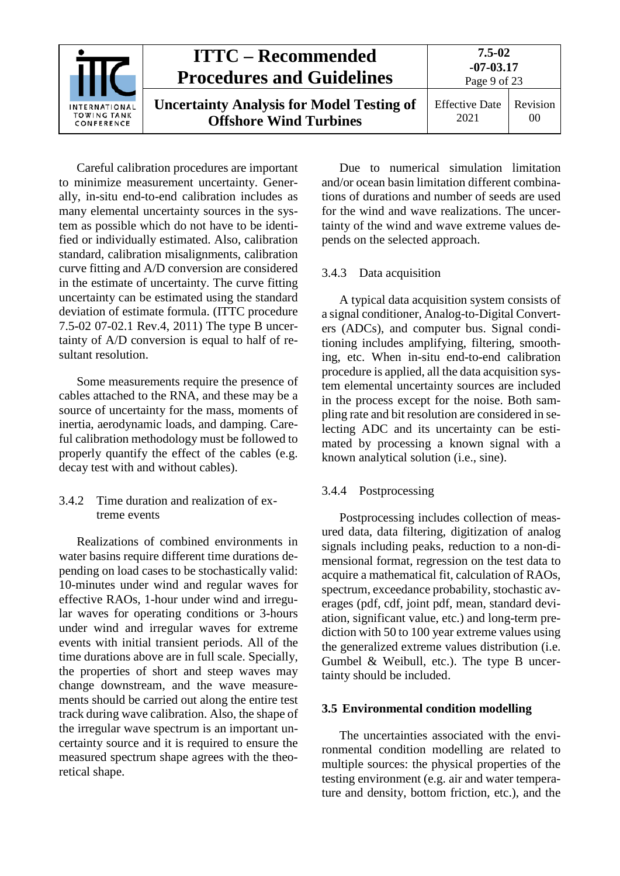|                                                          | <b>ITTC – Recommended</b><br><b>Procedures and Guidelines</b>                     | $7.5 - 02$<br>$-07 - 03.17$<br>Page 9 of 23 |                            |  |
|----------------------------------------------------------|-----------------------------------------------------------------------------------|---------------------------------------------|----------------------------|--|
| <b>INTERNATIONAL</b><br><b>TOWING TANK</b><br>CONFERENCE | <b>Uncertainty Analysis for Model Testing of</b><br><b>Offshore Wind Turbines</b> | <b>Effective Date</b><br>2021               | Revision<br>0 <sup>0</sup> |  |

Careful calibration procedures are important to minimize measurement uncertainty. Generally, in-situ end-to-end calibration includes as many elemental uncertainty sources in the system as possible which do not have to be identified or individually estimated. Also, calibration standard, calibration misalignments, calibration curve fitting and A/D conversion are considered in the estimate of uncertainty. The curve fitting uncertainty can be estimated using the standard deviation of estimate formula. (ITTC procedure 7.5-02 07-02.1 Rev.4, 2011) The type B uncertainty of A/D conversion is equal to half of resultant resolution.

Some measurements require the presence of cables attached to the RNA, and these may be a source of uncertainty for the mass, moments of inertia, aerodynamic loads, and damping. Careful calibration methodology must be followed to properly quantify the effect of the cables (e.g. decay test with and without cables).

### <span id="page-8-0"></span>3.4.2 Time duration and realization of extreme events

Realizations of combined environments in water basins require different time durations depending on load cases to be stochastically valid: 10-minutes under wind and regular waves for effective RAOs, 1-hour under wind and irregular waves for operating conditions or 3-hours under wind and irregular waves for extreme events with initial transient periods. All of the time durations above are in full scale. Specially, the properties of short and steep waves may change downstream, and the wave measurements should be carried out along the entire test track during wave calibration. Also, the shape of the irregular wave spectrum is an important uncertainty source and it is required to ensure the measured spectrum shape agrees with the theoretical shape.

Due to numerical simulation limitation and/or ocean basin limitation different combinations of durations and number of seeds are used for the wind and wave realizations. The uncertainty of the wind and wave extreme values depends on the selected approach.

### <span id="page-8-1"></span>3.4.3 Data acquisition

A typical data acquisition system consists of a signal conditioner, Analog-to-Digital Converters (ADCs), and computer bus. Signal conditioning includes amplifying, filtering, smoothing, etc. When in-situ end-to-end calibration procedure is applied, all the data acquisition system elemental uncertainty sources are included in the process except for the noise. Both sampling rate and bit resolution are considered in selecting ADC and its uncertainty can be estimated by processing a known signal with a known analytical solution (i.e., sine).

## <span id="page-8-2"></span>3.4.4 Postprocessing

Postprocessing includes collection of measured data, data filtering, digitization of analog signals including peaks, reduction to a non-dimensional format, regression on the test data to acquire a mathematical fit, calculation of RAOs, spectrum, exceedance probability, stochastic averages (pdf, cdf, joint pdf, mean, standard deviation, significant value, etc.) and long-term prediction with 50 to 100 year extreme values using the generalized extreme values distribution (i.e. Gumbel & Weibull, etc.). The type B uncertainty should be included.

## <span id="page-8-3"></span>**3.5 Environmental condition modelling**

The uncertainties associated with the environmental condition modelling are related to multiple sources: the physical properties of the testing environment (e.g. air and water temperature and density, bottom friction, etc.), and the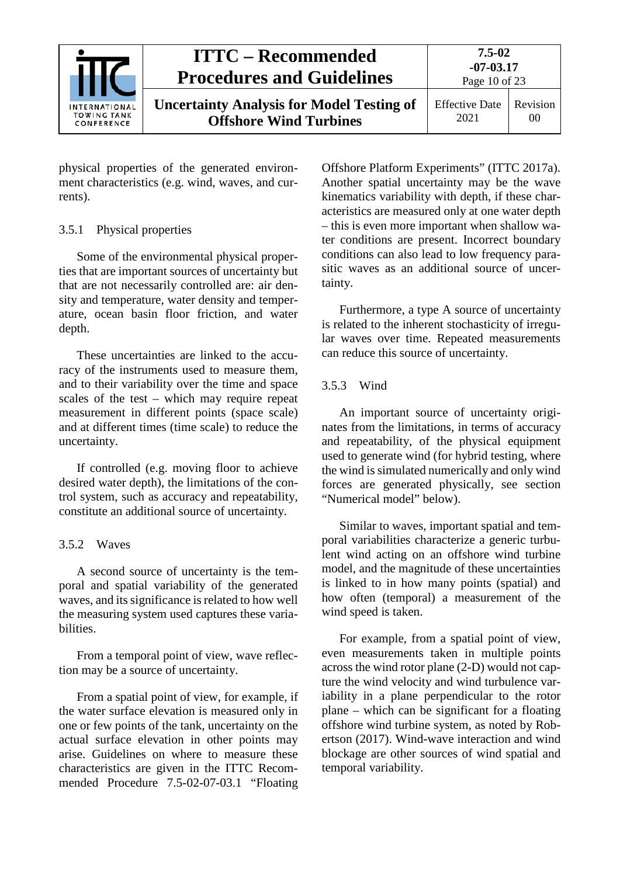

physical properties of the generated environment characteristics (e.g. wind, waves, and currents).

#### <span id="page-9-0"></span>3.5.1 Physical properties

Some of the environmental physical properties that are important sources of uncertainty but that are not necessarily controlled are: air density and temperature, water density and temperature, ocean basin floor friction, and water depth.

These uncertainties are linked to the accuracy of the instruments used to measure them, and to their variability over the time and space scales of the test – which may require repeat measurement in different points (space scale) and at different times (time scale) to reduce the uncertainty.

If controlled (e.g. moving floor to achieve desired water depth), the limitations of the control system, such as accuracy and repeatability, constitute an additional source of uncertainty.

## <span id="page-9-1"></span>3.5.2 Waves

A second source of uncertainty is the temporal and spatial variability of the generated waves, and its significance is related to how well the measuring system used captures these variabilities.

From a temporal point of view, wave reflection may be a source of uncertainty.

From a spatial point of view, for example, if the water surface elevation is measured only in one or few points of the tank, uncertainty on the actual surface elevation in other points may arise. Guidelines on where to measure these characteristics are given in the ITTC Recommended Procedure 7.5-02-07-03.1 "Floating

Offshore Platform Experiments" (ITTC 2017a). Another spatial uncertainty may be the wave kinematics variability with depth, if these characteristics are measured only at one water depth – this is even more important when shallow water conditions are present. Incorrect boundary conditions can also lead to low frequency parasitic waves as an additional source of uncertainty.

Furthermore, a type A source of uncertainty is related to the inherent stochasticity of irregular waves over time. Repeated measurements can reduce this source of uncertainty.

## <span id="page-9-2"></span>3.5.3 Wind

An important source of uncertainty originates from the limitations, in terms of accuracy and repeatability, of the physical equipment used to generate wind (for hybrid testing, where the wind is simulated numerically and only wind forces are generated physically, see section "Numerical model" below).

Similar to waves, important spatial and temporal variabilities characterize a generic turbulent wind acting on an offshore wind turbine model, and the magnitude of these uncertainties is linked to in how many points (spatial) and how often (temporal) a measurement of the wind speed is taken.

For example, from a spatial point of view, even measurements taken in multiple points across the wind rotor plane (2-D) would not capture the wind velocity and wind turbulence variability in a plane perpendicular to the rotor plane – which can be significant for a floating offshore wind turbine system, as noted by Robertson (2017). Wind-wave interaction and wind blockage are other sources of wind spatial and temporal variability.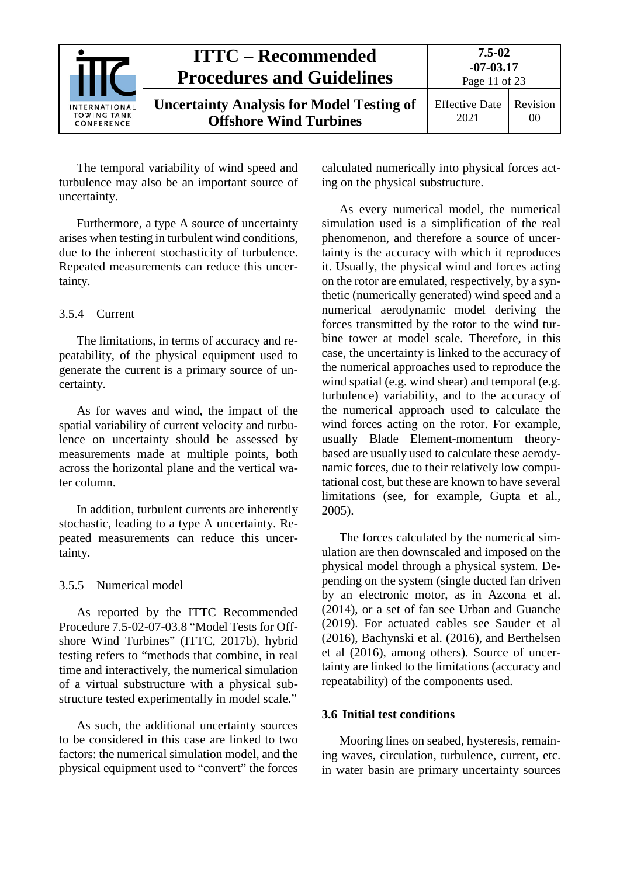

The temporal variability of wind speed and turbulence may also be an important source of uncertainty.

Furthermore, a type A source of uncertainty arises when testing in turbulent wind conditions, due to the inherent stochasticity of turbulence. Repeated measurements can reduce this uncertainty.

### <span id="page-10-0"></span>3.5.4 Current

The limitations, in terms of accuracy and repeatability, of the physical equipment used to generate the current is a primary source of uncertainty.

As for waves and wind, the impact of the spatial variability of current velocity and turbulence on uncertainty should be assessed by measurements made at multiple points, both across the horizontal plane and the vertical water column.

In addition, turbulent currents are inherently stochastic, leading to a type A uncertainty. Repeated measurements can reduce this uncertainty.

## <span id="page-10-1"></span>3.5.5 Numerical model

As reported by the ITTC Recommended Procedure 7.5-02-07-03.8 "Model Tests for Offshore Wind Turbines" (ITTC, 2017b), hybrid testing refers to "methods that combine, in real time and interactively, the numerical simulation of a virtual substructure with a physical substructure tested experimentally in model scale."

As such, the additional uncertainty sources to be considered in this case are linked to two factors: the numerical simulation model, and the physical equipment used to "convert" the forces

calculated numerically into physical forces acting on the physical substructure.

As every numerical model, the numerical simulation used is a simplification of the real phenomenon, and therefore a source of uncertainty is the accuracy with which it reproduces it. Usually, the physical wind and forces acting on the rotor are emulated, respectively, by a synthetic (numerically generated) wind speed and a numerical aerodynamic model deriving the forces transmitted by the rotor to the wind turbine tower at model scale. Therefore, in this case, the uncertainty is linked to the accuracy of the numerical approaches used to reproduce the wind spatial (e.g. wind shear) and temporal (e.g. turbulence) variability, and to the accuracy of the numerical approach used to calculate the wind forces acting on the rotor. For example, usually Blade Element-momentum theorybased are usually used to calculate these aerodynamic forces, due to their relatively low computational cost, but these are known to have several limitations (see, for example, Gupta et al., 2005).

The forces calculated by the numerical simulation are then downscaled and imposed on the physical model through a physical system. Depending on the system (single ducted fan driven by an electronic motor, as in Azcona et al. (2014), or a set of fan see Urban and Guanche (2019). For actuated cables see Sauder et al (2016), Bachynski et al. (2016), and Berthelsen et al (2016), among others). Source of uncertainty are linked to the limitations (accuracy and repeatability) of the components used.

#### <span id="page-10-2"></span>**3.6 Initial test conditions**

Mooring lines on seabed, hysteresis, remaining waves, circulation, turbulence, current, etc. in water basin are primary uncertainty sources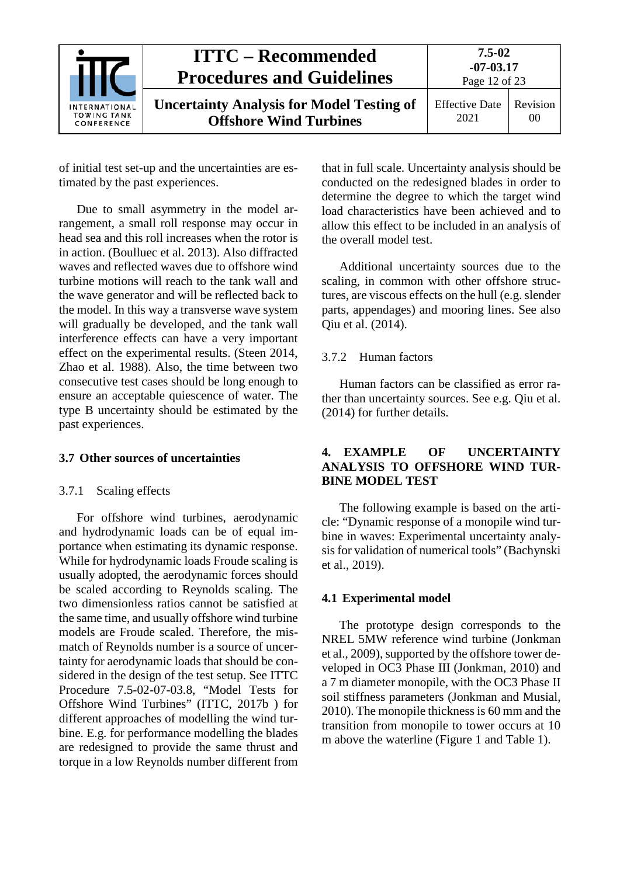

of initial test set-up and the uncertainties are estimated by the past experiences.

Due to small asymmetry in the model arrangement, a small roll response may occur in head sea and this roll increases when the rotor is in action. (Boulluec et al. 2013). Also diffracted waves and reflected waves due to offshore wind turbine motions will reach to the tank wall and the wave generator and will be reflected back to the model. In this way a transverse wave system will gradually be developed, and the tank wall interference effects can have a very important effect on the experimental results. (Steen 2014, Zhao et al. 1988). Also, the time between two consecutive test cases should be long enough to ensure an acceptable quiescence of water. The type B uncertainty should be estimated by the past experiences.

#### <span id="page-11-1"></span><span id="page-11-0"></span>**3.7 Other sources of uncertainties**

#### 3.7.1 Scaling effects

For offshore wind turbines, aerodynamic and hydrodynamic loads can be of equal importance when estimating its dynamic response. While for hydrodynamic loads Froude scaling is usually adopted, the aerodynamic forces should be scaled according to Reynolds scaling. The two dimensionless ratios cannot be satisfied at the same time, and usually offshore wind turbine models are Froude scaled. Therefore, the mismatch of Reynolds number is a source of uncertainty for aerodynamic loads that should be considered in the design of the test setup. See ITTC Procedure 7.5-02-07-03.8, "Model Tests for Offshore Wind Turbines" (ITTC, 2017b ) for different approaches of modelling the wind turbine. E.g. for performance modelling the blades are redesigned to provide the same thrust and torque in a low Reynolds number different from

that in full scale. Uncertainty analysis should be conducted on the redesigned blades in order to determine the degree to which the target wind load characteristics have been achieved and to allow this effect to be included in an analysis of the overall model test.

Additional uncertainty sources due to the scaling, in common with other offshore structures, are viscous effects on the hull (e.g. slender parts, appendages) and mooring lines. See also Qiu et al. (2014).

#### <span id="page-11-2"></span>3.7.2 Human factors

Human factors can be classified as error rather than uncertainty sources. See e.g. Qiu et al. (2014) for further details.

### <span id="page-11-3"></span>**4. EXAMPLE OF UNCERTAINTY ANALYSIS TO OFFSHORE WIND TUR-BINE MODEL TEST**

The following example is based on the article: "Dynamic response of a monopile wind turbine in waves: Experimental uncertainty analysis for validation of numerical tools" (Bachynski et al., 2019).

#### <span id="page-11-4"></span>**4.1 Experimental model**

The prototype design corresponds to the NREL 5MW reference wind turbine (Jonkman et al., 2009), supported by the offshore tower developed in OC3 Phase III (Jonkman, 2010) and a 7 m diameter monopile, with the OC3 Phase II soil stiffness parameters (Jonkman and Musial, 2010). The monopile thickness is 60 mm and the transition from monopile to tower occurs at 10 m above the waterline (Figure 1 and Table 1).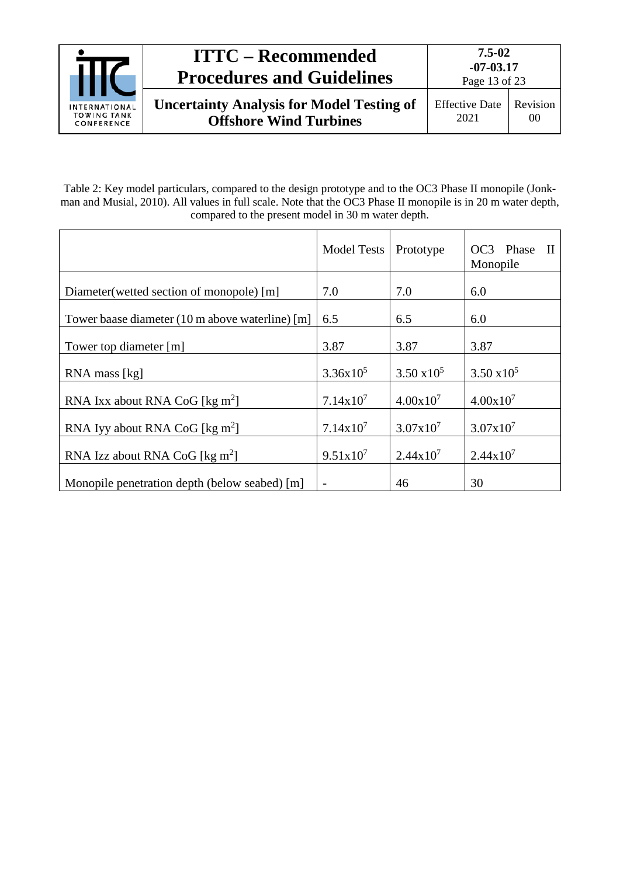

Table 2: Key model particulars, compared to the design prototype and to the OC3 Phase II monopile (Jonkman and Musial, 2010). All values in full scale. Note that the OC3 Phase II monopile is in 20 m water depth, compared to the present model in 30 m water depth.

|                                                 | <b>Model Tests</b>   | Prototype            | Phase<br>OC <sub>3</sub><br>$\mathbf{H}$<br>Monopile |
|-------------------------------------------------|----------------------|----------------------|------------------------------------------------------|
| Diameter (wetted section of monopole) [m]       | 7.0                  | 7.0                  | 6.0                                                  |
| Tower baase diameter (10 m above waterline) [m] | 6.5                  | 6.5                  | 6.0                                                  |
| Tower top diameter [m]                          | 3.87                 | 3.87                 | 3.87                                                 |
| RNA mass [kg]                                   | $3.36x10^5$          | $3.50 \times 10^5$   | $3.50 \times 10^5$                                   |
| RNA Ixx about RNA CoG [ $\text{kg m}^2$ ]       | $7.14x10^7$          | $4.00x10^{7}$        | $4.00x10^{7}$                                        |
| RNA Iyy about RNA CoG [ $\text{kg m}^2$ ]       | $7.14x10^7$          | $3.07x10^{7}$        | $3.07x10^{7}$                                        |
| RNA Izz about RNA CoG [ $\text{kg m}^2$ ]       | 9.51x10 <sup>7</sup> | $2.44 \times 10^{7}$ | $2.44 \times 10^{7}$                                 |
| Monopile penetration depth (below seabed) [m]   |                      | 46                   | 30                                                   |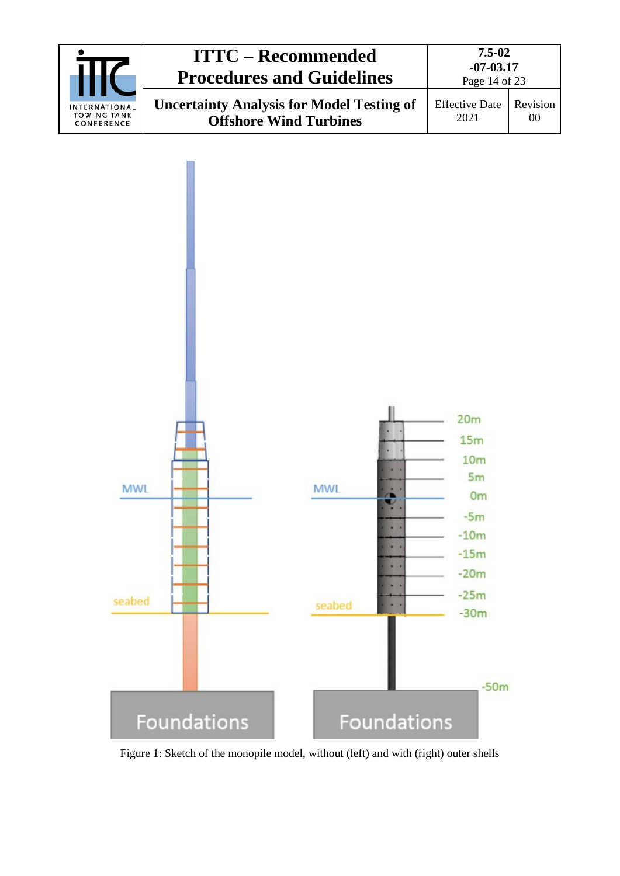



Figure 1: Sketch of the monopile model, without (left) and with (right) outer shells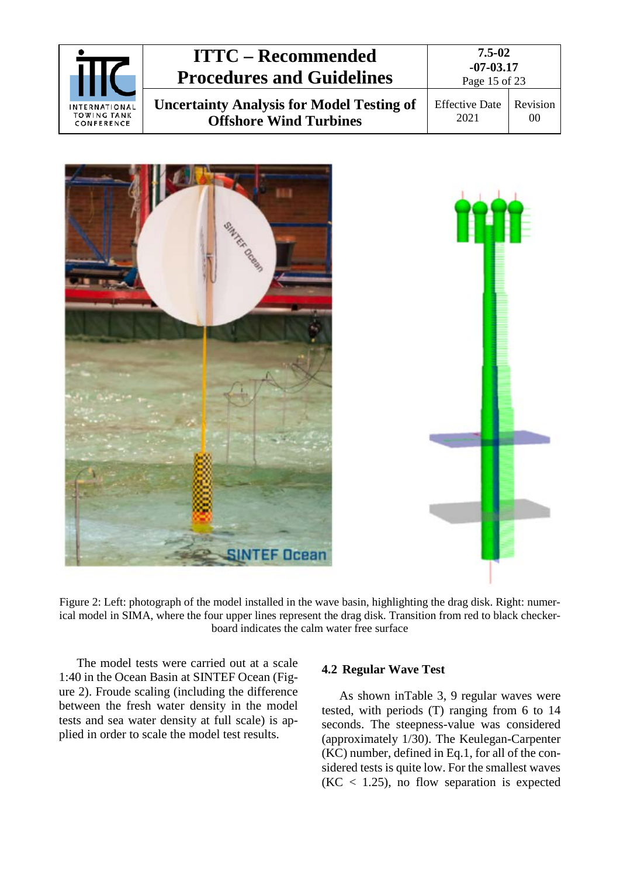|                                                   | <b>ITTC – Recommended</b><br><b>Procedures and Guidelines</b>                     | 7.5-02<br>$-07 - 03.17$<br>Page 15 of 23 |                |
|---------------------------------------------------|-----------------------------------------------------------------------------------|------------------------------------------|----------------|
| INTERNATIONAL<br><b>TOWING TANK</b><br>CONFERENCE | <b>Uncertainty Analysis for Model Testing of</b><br><b>Offshore Wind Turbines</b> | <b>Effective Date</b><br>2021            | Revision<br>00 |



Figure 2: Left: photograph of the model installed in the wave basin, highlighting the drag disk. Right: numerical model in SIMA, where the four upper lines represent the drag disk. Transition from red to black checkerboard indicates the calm water free surface

<span id="page-14-1"></span>The model tests were carried out at a scale 1:40 in the Ocean Basin at SINTEF Ocean [\(Fig](#page-14-1)[ure 2\)](#page-14-1). Froude scaling (including the difference between the fresh water density in the model tests and sea water density at full scale) is applied in order to scale the model test results.

#### <span id="page-14-0"></span>**4.2 Regular Wave Test**

As shown i[nTable 3,](#page-15-3) 9 regular waves were tested, with periods (T) ranging from 6 to 14 seconds. The steepness-value was considered (approximately 1/30). The Keulegan-Carpenter (KC) number, defined in Eq.1, for all of the considered tests is quite low. For the smallest waves  $(KC < 1.25)$ , no flow separation is expected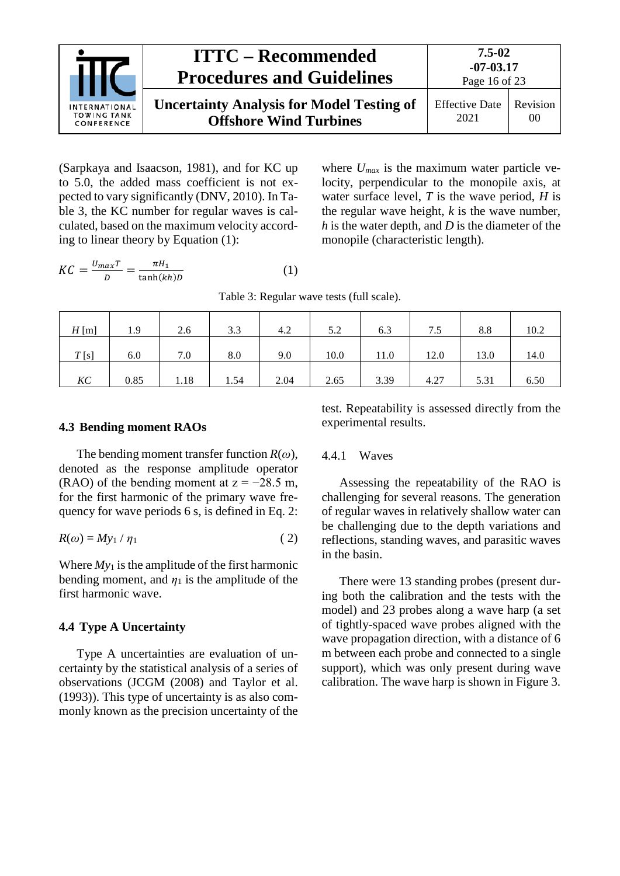

(Sarpkaya and Isaacson, 1981), and for KC up to 5.0, the added mass coefficient is not expected to vary significantly (DNV, 2010). In [Ta](#page-15-3)[ble 3,](#page-15-3) the KC number for regular waves is calculated, based on the maximum velocity according to linear theory by Equation (1):

where  $U_{max}$  is the maximum water particle velocity, perpendicular to the monopile axis, at water surface level, *T* is the wave period, *H* is the regular wave height, *k* is the wave number, *h* is the water depth, and *D* is the diameter of the monopile (characteristic length).

<span id="page-15-3"></span>
$$
KC = \frac{U_{max}T}{D} = \frac{\pi H_1}{\tanh(kh)D}
$$
 (1)

Table 3: Regular wave tests (full scale).

| $H$ [m] | 1.9  | 2.6  | 3.3  | 4.2  | 5.2  | 6.3  | 7.5  | 8.8  | 10.2 |
|---------|------|------|------|------|------|------|------|------|------|
| T[s]    | 6.0  | 7.0  | 8.0  | 9.0  | 10.0 | 11.0 | 12.0 | 13.0 | 14.0 |
| KC      | 0.85 | 1.18 | 1.54 | 2.04 | 2.65 | 3.39 | 4.27 | 5.31 | 6.50 |

#### <span id="page-15-0"></span>**4.3 Bending moment RAOs**

The bending moment transfer function *R*(*ω*), denoted as the response amplitude operator (RAO) of the bending moment at  $z = -28.5$  m, for the first harmonic of the primary wave frequency for wave periods 6 s, is defined in Eq. 2:

$$
R(\omega) = My_1 / \eta_1 \tag{2}
$$

Where  $My_1$  is the amplitude of the first harmonic bending moment, and  $\eta_1$  is the amplitude of the first harmonic wave.

#### <span id="page-15-1"></span>**4.4 Type A Uncertainty**

Type A uncertainties are evaluation of uncertainty by the statistical analysis of a series of observations (JCGM (2008) and Taylor et al. (1993)). This type of uncertainty is as also commonly known as the precision uncertainty of the test. Repeatability is assessed directly from the experimental results.

#### <span id="page-15-2"></span>4.4.1 Waves

Assessing the repeatability of the RAO is challenging for several reasons. The generation of regular waves in relatively shallow water can be challenging due to the depth variations and reflections, standing waves, and parasitic waves in the basin.

There were 13 standing probes (present during both the calibration and the tests with the model) and 23 probes along a wave harp (a set of tightly-spaced wave probes aligned with the wave propagation direction, with a distance of 6 m between each probe and connected to a single support), which was only present during wave calibration. The wave harp is shown i[n Figure 3.](#page-16-0)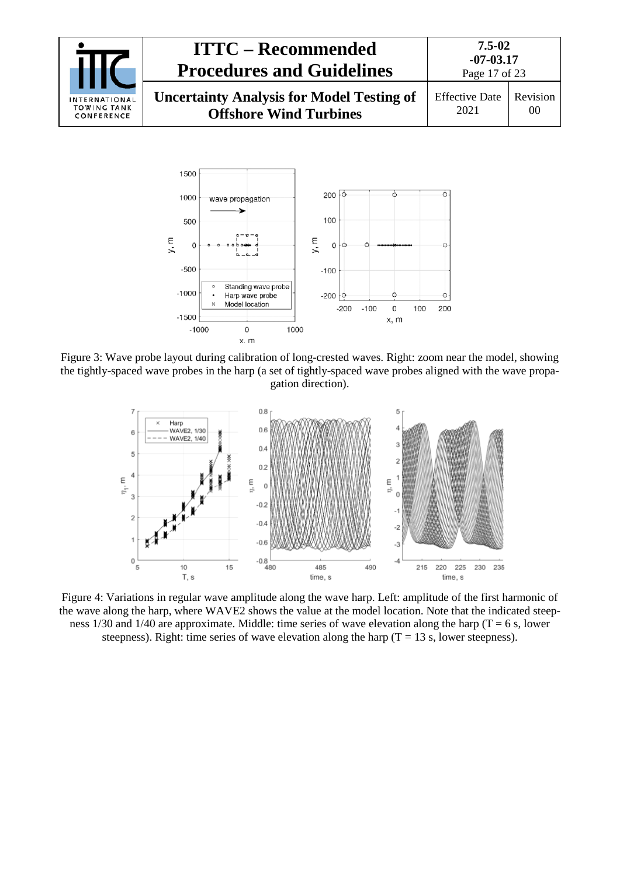



<span id="page-16-0"></span>Figure 3: Wave probe layout during calibration of long-crested waves. Right: zoom near the model, showing the tightly-spaced wave probes in the harp (a set of tightly-spaced wave probes aligned with the wave propagation direction).



<span id="page-16-1"></span>Figure 4: Variations in regular wave amplitude along the wave harp. Left: amplitude of the first harmonic of the wave along the harp, where WAVE2 shows the value at the model location. Note that the indicated steepness  $1/30$  and  $1/40$  are approximate. Middle: time series of wave elevation along the harp (T = 6 s, lower steepness). Right: time series of wave elevation along the harp  $(T = 13 \text{ s}, \text{lower steepness})$ .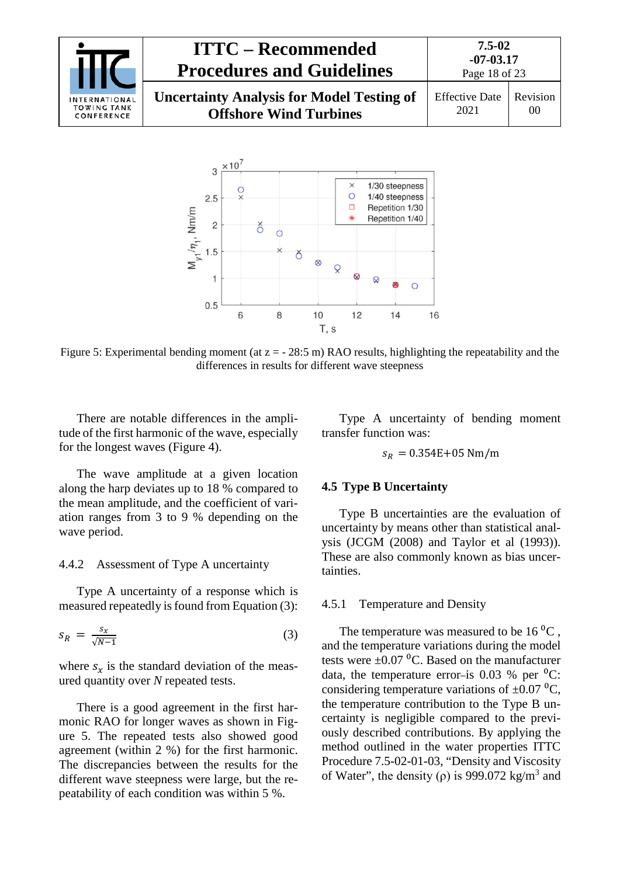



Figure 5: Experimental bending moment (at  $z = -28:5$  m) RAO results, highlighting the repeatability and the differences in results for different wave steepness

There are notable differences in the amplitude of the first harmonic of the wave, especially for the longest waves [\(Figure 4\)](#page-16-1).

Type A uncertainty of bending moment transfer function was:

$$
s_R = 0.354E + 05
$$
 Nm/m

<span id="page-17-1"></span>**4.5 Type B Uncertainty**

Type B uncertainties are the evaluation of uncertainty by means other than statistical analysis (JCGM (2008) and Taylor et al (1993)). These are also commonly known as bias uncertainties.

#### <span id="page-17-2"></span>4.5.1 Temperature and Density

The temperature was measured to be  $16 \degree C$ , and the temperature variations during the model tests were  $\pm 0.07$  °C. Based on the manufacturer data, the temperature error-is  $0.03 \%$  per <sup>0</sup>C: considering temperature variations of  $\pm 0.07$  °C. the temperature contribution to the Type B uncertainty is negligible compared to the previously described contributions. By applying the method outlined in the water properties ITTC Procedure 7.5-02-01-03, "Density and Viscosity of Water", the density ( $\rho$ ) is 999.072 kg/m<sup>3</sup> and

The wave amplitude at a given location along the harp deviates up to 18 % compared to the mean amplitude, and the coefficient of variation ranges from 3 to 9 % depending on the wave period.

### <span id="page-17-0"></span>4.4.2 Assessment of Type A uncertainty

Type A uncertainty of a response which is measured repeatedly is found from Equation (3):

$$
s_R = \frac{s_x}{\sqrt{N-1}}\tag{3}
$$

where  $s_x$  is the standard deviation of the measured quantity over *N* repeated tests.

There is a good agreement in the first harmonic RAO for longer waves as shown in Figure 5. The repeated tests also showed good agreement (within 2 %) for the first harmonic. The discrepancies between the results for the different wave steepness were large, but the repeatability of each condition was within 5 %.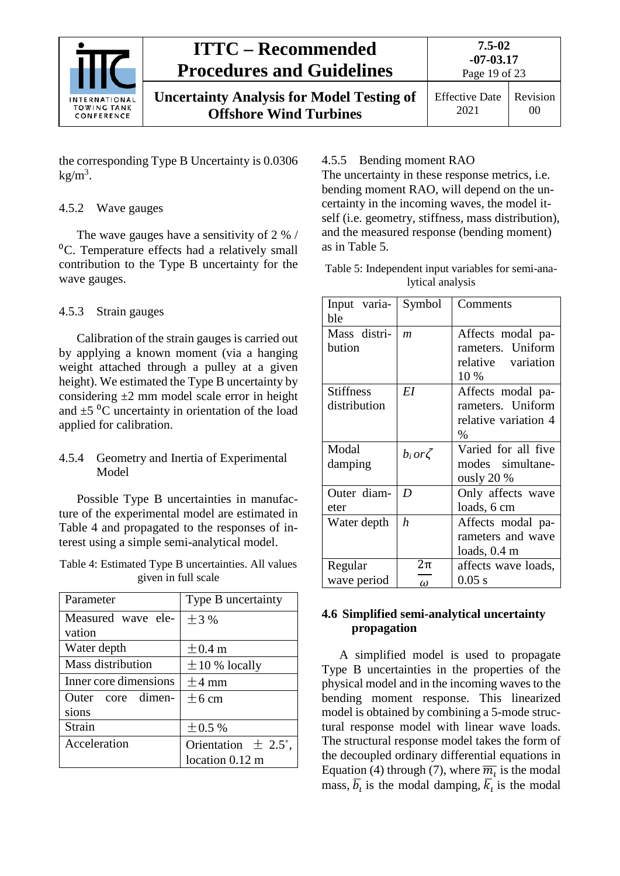

Effective Date 2021 Revision 00

the corresponding Type B Uncertainty is 0.0306  $kg/m<sup>3</sup>$ .

## <span id="page-18-0"></span>4.5.2 Wave gauges

The wave gauges have a sensitivity of 2 % /  ${}^{0}C$ . Temperature effects had a relatively small contribution to the Type B uncertainty for the wave gauges.

## <span id="page-18-1"></span>4.5.3 Strain gauges

Calibration of the strain gauges is carried out by applying a known moment (via a hanging weight attached through a pulley at a given height). We estimated the Type B uncertainty by considering  $\pm 2$  mm model scale error in height and  $\pm 5$  °C uncertainty in orientation of the load applied for calibration.

### <span id="page-18-2"></span>4.5.4 Geometry and Inertia of Experimental Model

Possible Type B uncertainties in manufacture of the experimental model are estimated in [Table 4](#page-18-5) and propagated to the responses of interest using a simple semi-analytical model.

<span id="page-18-5"></span>Table 4: Estimated Type B uncertainties. All values given in full scale

| Parameter             | Type B uncertainty      |  |  |  |
|-----------------------|-------------------------|--|--|--|
| Measured wave ele-    | $+3\%$                  |  |  |  |
| vation                |                         |  |  |  |
| Water depth           | $\pm$ 0.4 m             |  |  |  |
| Mass distribution     | $\pm$ 10 % locally      |  |  |  |
| Inner core dimensions | $+4 \text{ mm}$         |  |  |  |
| Outer core dimen-     | $+6$ cm                 |  |  |  |
| sions                 |                         |  |  |  |
| Strain                | $\pm 0.5 \%$            |  |  |  |
| Acceleration          | Orientation $\pm$ 2.5°, |  |  |  |
|                       | location 0.12 m         |  |  |  |

## <span id="page-18-3"></span>4.5.5 Bending moment RAO

The uncertainty in these response metrics, i.e. bending moment RAO, will depend on the uncertainty in the incoming waves, the model itself (i.e. geometry, stiffness, mass distribution), and the measured response (bending moment) as in [Table 5.](#page-18-6)

<span id="page-18-6"></span>Table 5: Independent input variables for semi-analytical analysis

| Input varia-<br>ble              | Symbol           | Comments                                                             |
|----------------------------------|------------------|----------------------------------------------------------------------|
| Mass distri-<br>bution           | m                | Affects modal pa-<br>rameters. Uniform<br>relative variation<br>10 % |
| <b>Stiffness</b><br>distribution | EI               | Affects modal pa-<br>rameters. Uniform<br>relative variation 4<br>%  |
| Modal<br>damping                 | $b_i$ or $\zeta$ | Varied for all five<br>modes simultane-<br>ously $20%$               |
| Outer diam-<br>eter              | D                | Only affects wave<br>loads, 6 cm                                     |
| Water depth                      | h                | Affects modal pa-<br>rameters and wave<br>loads, 0.4 m               |
| Regular<br>wave period           | 2π<br>$\omega$   | affects wave loads,<br>$0.05$ s                                      |

## <span id="page-18-4"></span>**4.6 Simplified semi-analytical uncertainty propagation**

A simplified model is used to propagate Type B uncertainties in the properties of the physical model and in the incoming waves to the bending moment response. This linearized model is obtained by combining a 5-mode structural response model with linear wave loads. The structural response model takes the form of the decoupled ordinary differential equations in Equation (4) through (7), where  $\overline{m_i}$  is the modal mass,  $b_i$  is the modal damping,  $k_i$  is the modal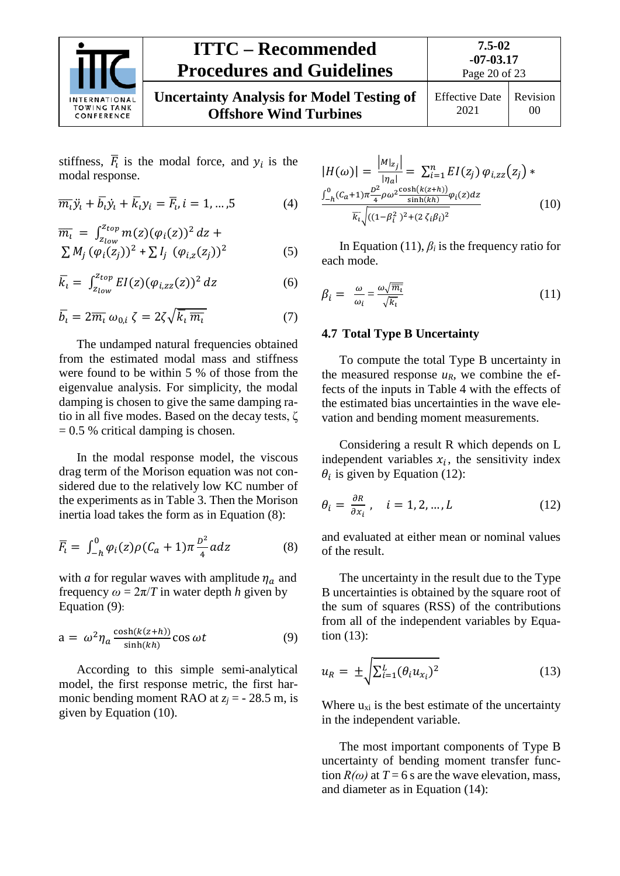

00

Effective Date 2021 Revision

stiffness,  $\overline{F}_i$  is the modal force, and  $y_i$  is the modal response.

$$
\overline{m_i}\ddot{y_i} + \overline{b_i}\dot{y_i} + \overline{k_i}y_i = \overline{F_i}, i = 1, ..., 5
$$
 (4)

$$
\overline{m_i} = \int_{z_{low}}^{z_{top}} m(z) (\varphi_i(z))^2 dz + \sum M_j (\varphi_i(z_j))^2 + \sum I_j (\varphi_{i,z}(z_j))^2
$$
(5)

$$
\overline{k}_i = \int_{z_{low}}^{z_{top}} EI(z) (\varphi_{i,zz}(z))^2 dz \tag{6}
$$

$$
\overline{b}_i = 2\overline{m_i} \omega_{0,i} \zeta = 2\zeta \sqrt{\overline{k_i} \overline{m_i}} \tag{7}
$$

The undamped natural frequencies obtained from the estimated modal mass and stiffness were found to be within 5 % of those from the eigenvalue analysis. For simplicity, the modal damping is chosen to give the same damping ratio in all five modes. Based on the decay tests, ζ  $= 0.5$  % critical damping is chosen.

In the modal response model, the viscous drag term of the Morison equation was not considered due to the relatively low KC number of the experiments as in [Table 3.](#page-15-3) Then the Morison inertia load takes the form as in Equation (8):

$$
\overline{F}_i = \int_{-h}^{0} \varphi_i(z) \rho (C_a + 1) \pi \frac{D^2}{4} a dz \tag{8}
$$

with *a* for regular waves with amplitude  $\eta_a$  and frequency  $\omega = 2\pi/T$  in water depth *h* given by Equation (9):

$$
a = \omega^2 \eta_a \frac{\cosh(k(z+h))}{\sinh(kh)} \cos \omega t \tag{9}
$$

According to this simple semi-analytical model, the first response metric, the first harmonic bending moment RAO at  $z_i$  = - 28.5 m, is given by Equation (10).

$$
|H(\omega)| = \frac{|M|_{z_j}|}{|\eta_a|} = \sum_{i=1}^n EI(z_j) \varphi_{i,zz}(z_j) * \frac{\int_{-h}^0 (C_a + 1)\pi \frac{D^2}{4} \rho \omega^2 \frac{\cosh(k(z+h))}{\sinh(kh)} \varphi_i(z) dz}{\overline{k_i} \sqrt{((1 - \beta_i^2)^2 + (2\zeta_i \beta_i)^2}}}
$$
(10)

In Equation (11),  $\beta_i$  is the frequency ratio for each mode.

$$
\beta_i = \frac{\omega}{\omega_i} = \frac{\omega \sqrt{\overline{m_i}}}{\sqrt{\overline{k_i}}} \tag{11}
$$

#### <span id="page-19-0"></span>**4.7 Total Type B Uncertainty**

To compute the total Type B uncertainty in the measured response  $u_R$ , we combine the effects of the inputs in [Table 4](#page-18-5) with the effects of the estimated bias uncertainties in the wave elevation and bending moment measurements.

Considering a result R which depends on L independent variables  $x_i$ , the sensitivity index  $\theta_i$  is given by Equation (12):

$$
\theta_i = \frac{\partial R}{\partial x_i}, \quad i = 1, 2, \dots, L \tag{12}
$$

and evaluated at either mean or nominal values of the result.

The uncertainty in the result due to the Type B uncertainties is obtained by the square root of the sum of squares (RSS) of the contributions from all of the independent variables by Equation (13):

$$
u_R = \pm \sqrt{\sum_{i=1}^L (\theta_i u_{x_i})^2} \tag{13}
$$

Where  $u_{xi}$  is the best estimate of the uncertainty in the independent variable.

The most important components of Type B uncertainty of bending moment transfer function  $R(\omega)$  at  $T = 6$  s are the wave elevation, mass, and diameter as in Equation (14):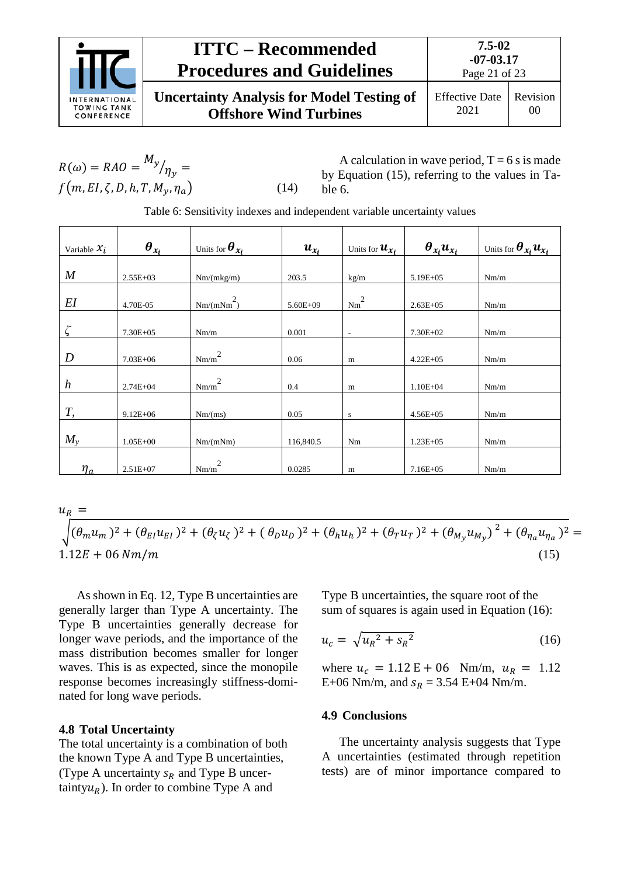

**Uncertainty Analysis for Model Testing of Offshore Wind Turbines**

$$
R(\omega) = RAO = \frac{M_y}{\eta_y} =
$$
  

$$
f(m, EI, \zeta, D, h, T, M_y, \eta_a)
$$
 (14)

A calculation in wave period,  $T = 6$  s is made by Equation (15), referring to the values in [Ta](#page-20-2)[ble 6.](#page-20-2)

Table 6: Sensitivity indexes and independent variable uncertainty values

<span id="page-20-2"></span>

| Variable $x_i$   | $\boldsymbol{\theta}_{x_i}$ | Units for $\bm{\theta}_{\bm{x_i}}$ | $u_{x_i}$    | Units for $\boldsymbol{u}_{\boldsymbol{\chi}_i}$ | $\theta_{x_i} u_{x_i}$ | Units for $\boldsymbol{\theta}_{x_i} \boldsymbol{u}_{x_i}$ |
|------------------|-----------------------------|------------------------------------|--------------|--------------------------------------------------|------------------------|------------------------------------------------------------|
| $\boldsymbol{M}$ | $2.55E+03$                  | Nm/(mkg/m)                         | 203.5        | kg/m                                             | $5.19E + 05$           | Nm/m                                                       |
| EI               | 4.70E-05                    | $Nm/(mNm^2)$                       | $5.60E + 09$ | $Nm^2$                                           | $2.63E + 05$           | Nm/m                                                       |
| ζ                | $7.30E + 0.5$               | Nm/m                               | 0.001        | $\overline{\phantom{a}}$                         | $7.30E + 02$           | Nm/m                                                       |
| $\boldsymbol{D}$ | $7.03E + 06$                | $Nm/m^2$                           | 0.06         | m                                                | $4.22E + 05$           | Nm/m                                                       |
| $\boldsymbol{h}$ | $2.74E + 04$                | $\mbox{Nm/m}^2$                    | 0.4          | m                                                | $1.10E + 04$           | Nm/m                                                       |
| $T_{\rm{,}}$     | $9.12E + 06$                | Nm/(ms)                            | 0.05         | s                                                | $4.56E + 05$           | Nm/m                                                       |
| $M_{\rm v}$      | $1.05E + 00$                | Nm/(mNm)                           | 116,840.5    | Nm                                               | $1.23E + 0.5$          | Nm/m                                                       |
| $\eta_a$         | $2.51E+07$                  | $Nm/m^2$                           | 0.0285       | m                                                | $7.16E + 05$           | Nm/m                                                       |

 $u_{R_{\perp}} =$ 

 $\int (\theta_m u_m)^2 + (\theta_{El} u_{El})^2 + (\theta_{\zeta} u_{\zeta})^2 + (\theta_D u_D)^2 + (\theta_h u_h)^2 + (\theta_T u_T)^2 + (\theta_{My} u_{My})^2 + (\theta_{\eta_a} u_{\eta_a})^2 =$  $1.12E + 06 Nm/m$  (15)

As shown in Eq. 12, Type B uncertainties are generally larger than Type A uncertainty. The Type B uncertainties generally decrease for longer wave periods, and the importance of the mass distribution becomes smaller for longer waves. This is as expected, since the monopile response becomes increasingly stiffness-dominated for long wave periods.

## <span id="page-20-0"></span>**4.8 Total Uncertainty**

The total uncertainty is a combination of both the known Type A and Type B uncertainties, (Type A uncertainty  $s_R$  and Type B uncertainty $u_R$ ). In order to combine Type A and

Type B uncertainties, the square root of the sum of squares is again used in Equation (16):

$$
u_c = \sqrt{u_R^2 + s_R^2} \tag{16}
$$

where  $u_c = 1.12 \text{ E} + 06 \text{ Nm/m}, u_R = 1.12$ E+06 Nm/m, and  $s_R = 3.54$  E+04 Nm/m.

#### <span id="page-20-1"></span>**4.9 Conclusions**

The uncertainty analysis suggests that Type A uncertainties (estimated through repetition tests) are of minor importance compared to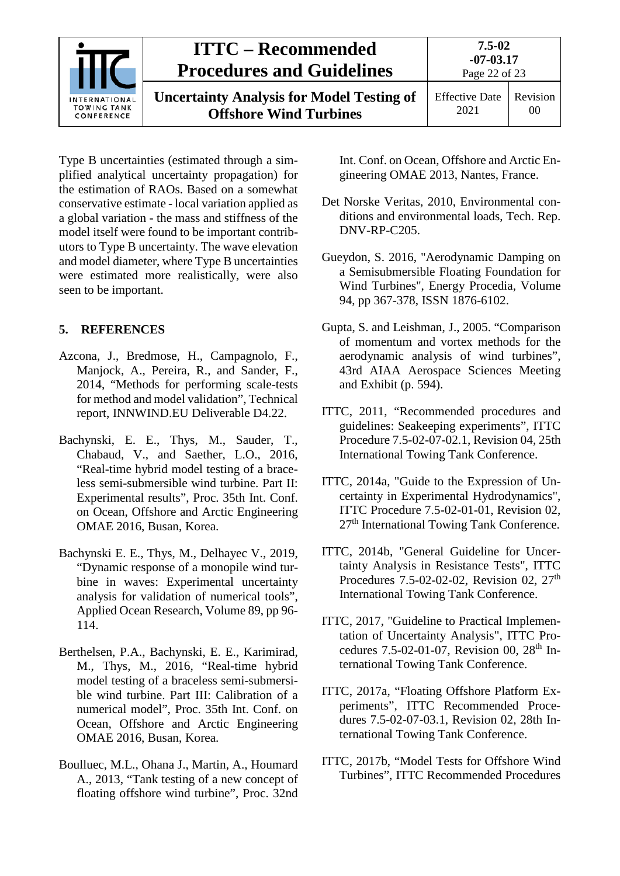

**Uncertainty Analysis for Model Testing of Offshore Wind Turbines**

**7.5-02**

Type B uncertainties (estimated through a simplified analytical uncertainty propagation) for the estimation of RAOs. Based on a somewhat conservative estimate - local variation applied as a global variation - the mass and stiffness of the model itself were found to be important contributors to Type B uncertainty. The wave elevation and model diameter, where Type B uncertainties were estimated more realistically, were also seen to be important.

## <span id="page-21-0"></span>**5. REFERENCES**

- Azcona, J., Bredmose, H., Campagnolo, F., Manjock, A., Pereira, R., and Sander, F., 2014, "Methods for performing scale-tests for method and model validation", Technical report, INNWIND.EU Deliverable D4.22.
- Bachynski, E. E., Thys, M., Sauder, T., Chabaud, V., and Saether, L.O., 2016, "Real-time hybrid model testing of a braceless semi-submersible wind turbine. Part II: Experimental results", Proc. 35th Int. Conf. on Ocean, Offshore and Arctic Engineering OMAE 2016, Busan, Korea.
- Bachynski E. E., Thys, M., Delhayec V., 2019, "Dynamic response of a monopile wind turbine in waves: Experimental uncertainty analysis for validation of numerical tools", Applied Ocean Research, Volume 89, pp 96- 114.
- Berthelsen, P.A., Bachynski, E. E., Karimirad, M., Thys, M., 2016, "Real-time hybrid model testing of a braceless semi-submersible wind turbine. Part III: Calibration of a numerical model", Proc. 35th Int. Conf. on Ocean, Offshore and Arctic Engineering OMAE 2016, Busan, Korea.
- Boulluec, M.L., Ohana J., Martin, A., Houmard A., 2013, "Tank testing of a new concept of floating offshore wind turbine", Proc. 32nd

Int. Conf. on Ocean, Offshore and Arctic Engineering OMAE 2013, Nantes, France.

- Det Norske Veritas, 2010, Environmental conditions and environmental loads, Tech. Rep. DNV-RP-C205.
- Gueydon, S. 2016, "Aerodynamic Damping on a Semisubmersible Floating Foundation for Wind Turbines", Energy Procedia, Volume 94, pp 367-378, ISSN 1876-6102.
- Gupta, S. and Leishman, J., 2005. "Comparison of momentum and vortex methods for the aerodynamic analysis of wind turbines", 43rd AIAA Aerospace Sciences Meeting and Exhibit (p. 594).
- ITTC, 2011, "Recommended procedures and guidelines: Seakeeping experiments", ITTC Procedure 7.5-02-07-02.1, Revision 04, 25th International Towing Tank Conference.
- ITTC, 2014a, "Guide to the Expression of Uncertainty in Experimental Hydrodynamics", ITTC Procedure 7.5-02-01-01, Revision 02, 27th International Towing Tank Conference.
- ITTC, 2014b, "General Guideline for Uncertainty Analysis in Resistance Tests", ITTC Procedures 7.5-02-02-02, Revision 02,  $27<sup>th</sup>$ International Towing Tank Conference.
- ITTC, 2017, "Guideline to Practical Implementation of Uncertainty Analysis", ITTC Procedures 7.5-02-01-07, Revision 00, 28<sup>th</sup> International Towing Tank Conference.
- ITTC, 2017a, "Floating Offshore Platform Experiments", ITTC Recommended Procedures 7.5-02-07-03.1, Revision 02, 28th International Towing Tank Conference.
- ITTC, 2017b, "Model Tests for Offshore Wind Turbines", ITTC Recommended Procedures